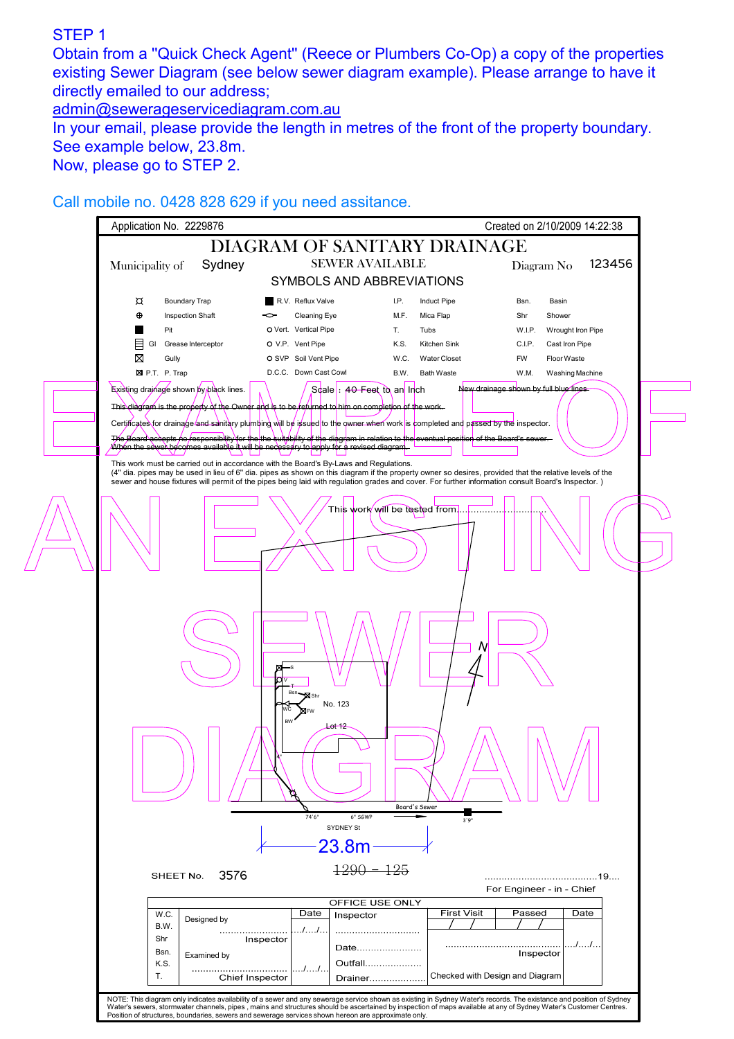## STEP 1

Obtain from a ''Quick Check Agent'' (Reece or Plumbers Co-Op) a copy of the properties existing Sewer Diagram (see below sewer diagram example). Please arrange to have it directly emailed to our address;

admin@sewerageservicediagram.com.au

In your email, please provide the length in metres of the front of the property boundary. See example below, 23.8m.

Now, please go to STEP 2.

Call mobile no. 0428 828 629 if you need assitance.

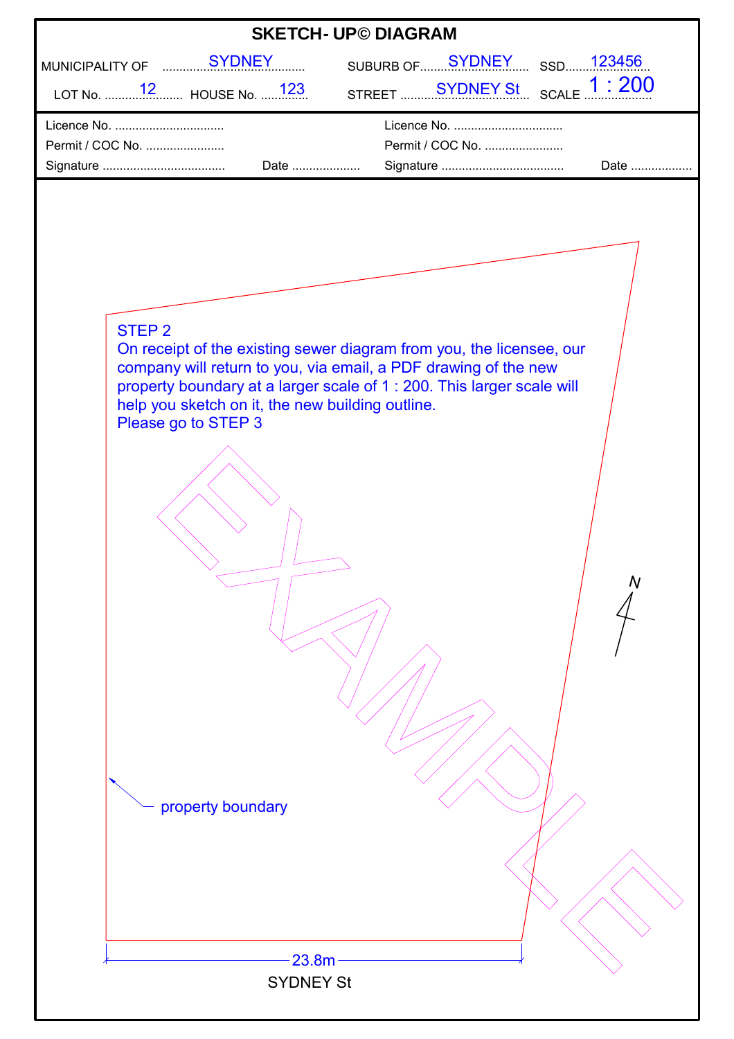| <b>SKETCH- UP© DIAGRAM</b>                                                                                                                                                                                                                                                                                                                      |
|-------------------------------------------------------------------------------------------------------------------------------------------------------------------------------------------------------------------------------------------------------------------------------------------------------------------------------------------------|
| MUNICIPALITY OF  SYDNEY<br>SUBURB OF SYDNEY SSD123456                                                                                                                                                                                                                                                                                           |
| STREET SYDNEY St SCALE 1:200                                                                                                                                                                                                                                                                                                                    |
| Licence No.                                                                                                                                                                                                                                                                                                                                     |
| Permit / COC No.<br>Permit / COC No.<br>Date<br>Date                                                                                                                                                                                                                                                                                            |
| STEP <sub>2</sub><br>On receipt of the existing sewer diagram from you, the licensee, our<br>company will return to you, via email, a PDF drawing of the new<br>property boundary at a larger scale of 1 : 200. This larger scale will<br>help you sketch on it, the new building outline.<br>Please go to STEP 3<br>property boundary<br>23.8m |
| <b>SYDNEY St</b>                                                                                                                                                                                                                                                                                                                                |
|                                                                                                                                                                                                                                                                                                                                                 |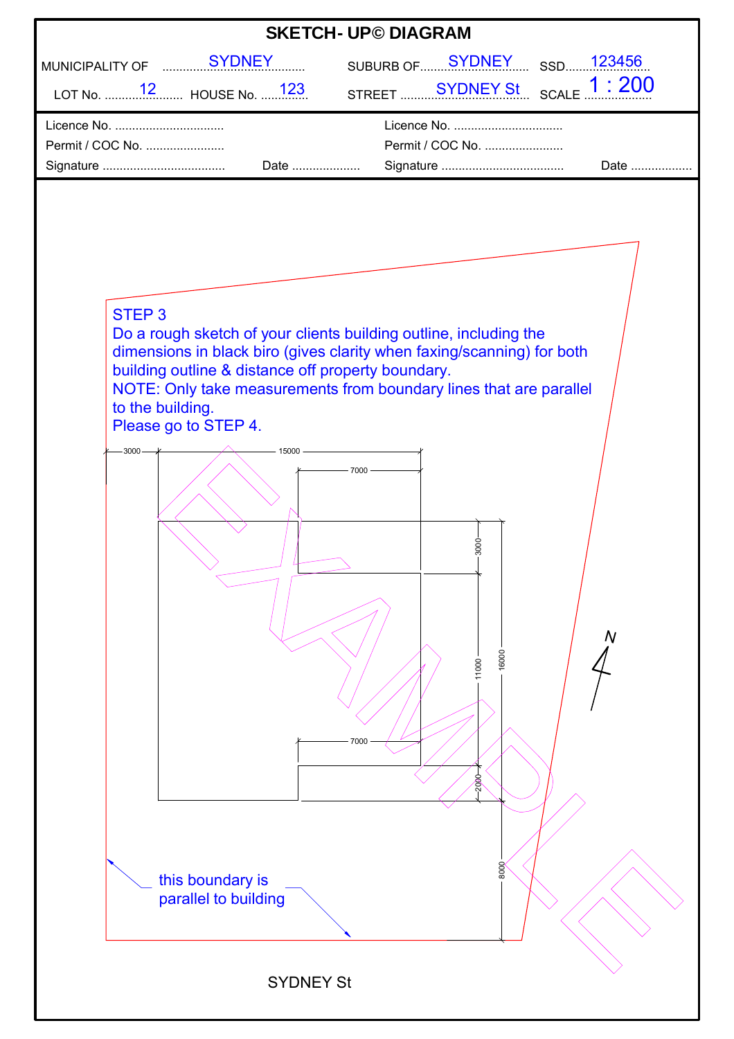